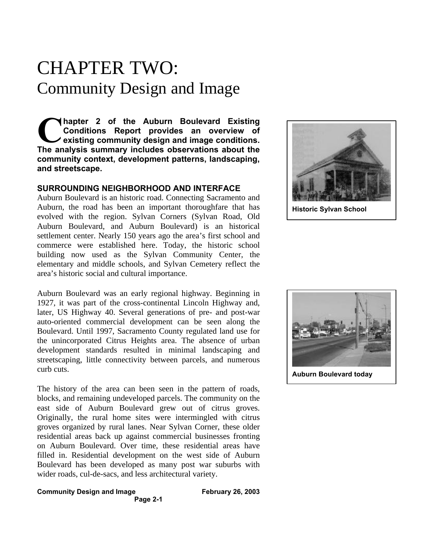# CHAPTER TWO: Community Design and Image

**hapter 2 of the Auburn Boulevard Existing Conditions Report provides an overview of existing community design and image conditions. The analysis summary includes observations about the analysis summary includes observations about the community context, development patterns, landscaping, and streetscape.**

## **SURROUNDING NEIGHBORHOOD AND INTERFACE**

Auburn Boulevard is an historic road. Connecting Sacramento and Auburn, the road has been an important thoroughfare that has evolved with the region. Sylvan Corners (Sylvan Road, Old Auburn Boulevard, and Auburn Boulevard) is an historical settlement center. Nearly 150 years ago the area's first school and commerce were established here. Today, the historic school building now used as the Sylvan Community Center, the elementary and middle schools, and Sylvan Cemetery reflect the area's historic social and cultural importance.

Auburn Boulevard was an early regional highway. Beginning in 1927, it was part of the cross-continental Lincoln Highway and, later, US Highway 40. Several generations of pre- and post-war auto-oriented commercial development can be seen along the Boulevard. Until 1997, Sacramento County regulated land use for the unincorporated Citrus Heights area. The absence of urban development standards resulted in minimal landscaping and streetscaping, little connectivity between parcels, and numerous curb cuts.

The history of the area can been seen in the pattern of roads, blocks, and remaining undeveloped parcels. The community on the east side of Auburn Boulevard grew out of citrus groves. Originally, the rural home sites were intermingled with citrus groves organized by rural lanes. Near Sylvan Corner, these older residential areas back up against commercial businesses fronting on Auburn Boulevard. Over time, these residential areas have filled in. Residential development on the west side of Auburn Boulevard has been developed as many post war suburbs with wider roads, cul-de-sacs, and less architectural variety.

**Historic Sylvan School**



## **Community Design and Image February 26, 2003**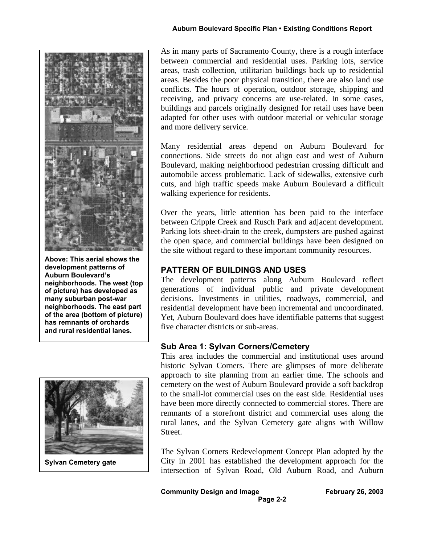

**Above: This aerial shows the development patterns of Auburn Boulevard's neighborhoods. The west (top of picture) has developed as many suburban post-war neighborhoods. The east part of the area (bottom of picture) has remnants of orchards and rural residential lanes.**



As in many parts of Sacramento County, there is a rough interface between commercial and residential uses. Parking lots, service areas, trash collection, utilitarian buildings back up to residential areas. Besides the poor physical transition, there are also land use conflicts. The hours of operation, outdoor storage, shipping and receiving, and privacy concerns are use-related. In some cases, buildings and parcels originally designed for retail uses have been adapted for other uses with outdoor material or vehicular storage and more delivery service.

Many residential areas depend on Auburn Boulevard for connections. Side streets do not align east and west of Auburn Boulevard, making neighborhood pedestrian crossing difficult and automobile access problematic. Lack of sidewalks, extensive curb cuts, and high traffic speeds make Auburn Boulevard a difficult walking experience for residents.

Over the years, little attention has been paid to the interface between Cripple Creek and Rusch Park and adjacent development. Parking lots sheet-drain to the creek, dumpsters are pushed against the open space, and commercial buildings have been designed on the site without regard to these important community resources.

## **PATTERN OF BUILDINGS AND USES**

The development patterns along Auburn Boulevard reflect generations of individual public and private development decisions. Investments in utilities, roadways, commercial, and residential development have been incremental and uncoordinated. Yet, Auburn Boulevard does have identifiable patterns that suggest five character districts or sub-areas.

## **Sub Area 1: Sylvan Corners/Cemetery**

This area includes the commercial and institutional uses around historic Sylvan Corners. There are glimpses of more deliberate approach to site planning from an earlier time. The schools and cemetery on the west of Auburn Boulevard provide a soft backdrop to the small-lot commercial uses on the east side. Residential uses have been more directly connected to commercial stores. There are remnants of a storefront district and commercial uses along the rural lanes, and the Sylvan Cemetery gate aligns with Willow Street.

The Sylvan Corners Redevelopment Concept Plan adopted by the City in 2001 has established the development approach for the intersection of Sylvan Road, Old Auburn Road, and Auburn

**Community Design and Image February 26, 2003 Page 2-2**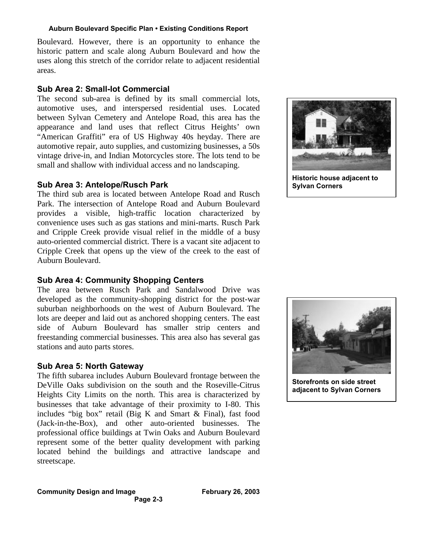Boulevard. However, there is an opportunity to enhance the historic pattern and scale along Auburn Boulevard and how the uses along this stretch of the corridor relate to adjacent residential areas.

## **Sub Area 2: Small-lot Commercial**

The second sub-area is defined by its small commercial lots, automotive uses, and interspersed residential uses. Located between Sylvan Cemetery and Antelope Road, this area has the appearance and land uses that reflect Citrus Heights' own "American Graffiti" era of US Highway 40s heyday. There are automotive repair, auto supplies, and customizing businesses, a 50s vintage drive-in, and Indian Motorcycles store. The lots tend to be small and shallow with individual access and no landscaping.

## **Sub Area 3: Antelope/Rusch Park**

The third sub area is located between Antelope Road and Rusch Park. The intersection of Antelope Road and Auburn Boulevard provides a visible, high-traffic location characterized by convenience uses such as gas stations and mini-marts. Rusch Park and Cripple Creek provide visual relief in the middle of a busy auto-oriented commercial district. There is a vacant site adjacent to Cripple Creek that opens up the view of the creek to the east of Auburn Boulevard.

## **Sub Area 4: Community Shopping Centers**

The area between Rusch Park and Sandalwood Drive was developed as the community-shopping district for the post-war suburban neighborhoods on the west of Auburn Boulevard. The lots are deeper and laid out as anchored shopping centers. The east side of Auburn Boulevard has smaller strip centers and freestanding commercial businesses. This area also has several gas stations and auto parts stores.

## **Sub Area 5: North Gateway**

The fifth subarea includes Auburn Boulevard frontage between the DeVille Oaks subdivision on the south and the Roseville-Citrus Heights City Limits on the north. This area is characterized by businesses that take advantage of their proximity to I-80. This includes "big box" retail (Big K and Smart & Final), fast food (Jack-in-the-Box), and other auto-oriented businesses. The professional office buildings at Twin Oaks and Auburn Boulevard represent some of the better quality development with parking located behind the buildings and attractive landscape and streetscape.





**Storefronts on side street adjacent to Sylvan Corners**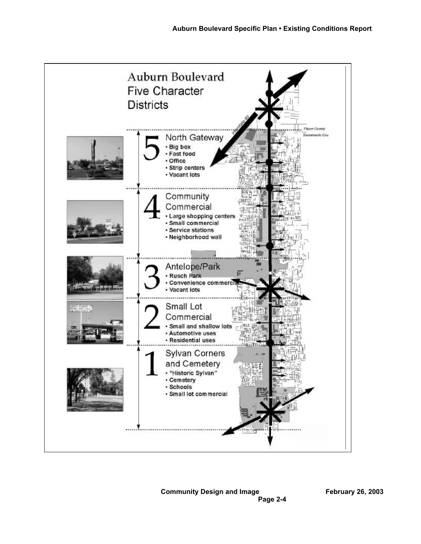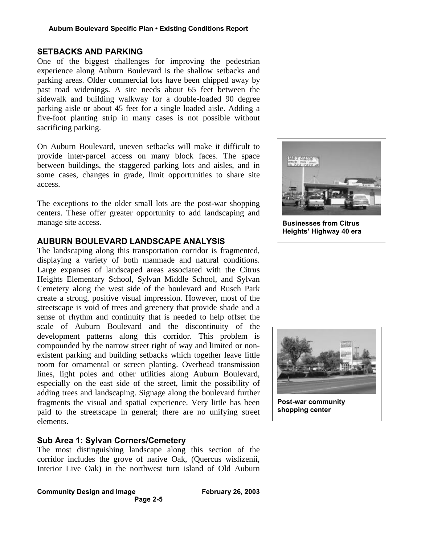## **SETBACKS AND PARKING**

One of the biggest challenges for improving the pedestrian experience along Auburn Boulevard is the shallow setbacks and parking areas. Older commercial lots have been chipped away by past road widenings. A site needs about 65 feet between the sidewalk and building walkway for a double-loaded 90 degree parking aisle or about 45 feet for a single loaded aisle. Adding a five-foot planting strip in many cases is not possible without sacrificing parking.

On Auburn Boulevard, uneven setbacks will make it difficult to provide inter-parcel access on many block faces. The space between buildings, the staggered parking lots and aisles, and in some cases, changes in grade, limit opportunities to share site access.

The exceptions to the older small lots are the post-war shopping centers. These offer greater opportunity to add landscaping and manage site access.

## **AUBURN BOULEVARD LANDSCAPE ANALYSIS**

The landscaping along this transportation corridor is fragmented, displaying a variety of both manmade and natural conditions. Large expanses of landscaped areas associated with the Citrus Heights Elementary School, Sylvan Middle School, and Sylvan Cemetery along the west side of the boulevard and Rusch Park create a strong, positive visual impression. However, most of the streetscape is void of trees and greenery that provide shade and a sense of rhythm and continuity that is needed to help offset the scale of Auburn Boulevard and the discontinuity of the development patterns along this corridor. This problem is compounded by the narrow street right of way and limited or nonexistent parking and building setbacks which together leave little room for ornamental or screen planting. Overhead transmission lines, light poles and other utilities along Auburn Boulevard, especially on the east side of the street, limit the possibility of adding trees and landscaping. Signage along the boulevard further fragments the visual and spatial experience. Very little has been paid to the streetscape in general; there are no unifying street elements.

## **Sub Area 1: Sylvan Corners/Cemetery**

The most distinguishing landscape along this section of the corridor includes the grove of native Oak, (Quercus wislizenii, Interior Live Oak) in the northwest turn island of Old Auburn

#### **Community Design and Image February 26, 2003 Page 2-5**



**Businesses from Citrus Heights' Highway 40 era**



**Post-war community shopping center**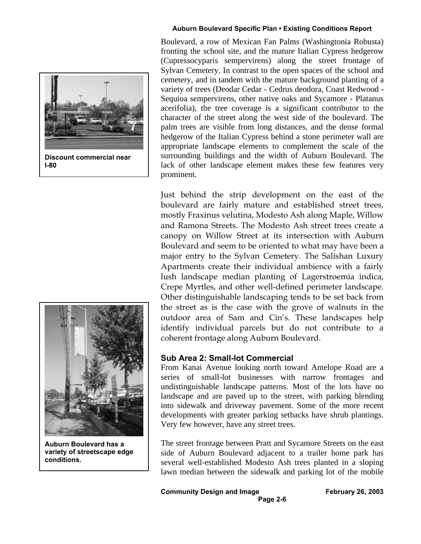

**Discount commercial near I-80**



**Auburn Boulevard has a variety of streetscape edge conditions.**

Boulevard, a row of Mexican Fan Palms (Washingtonia Robusta) fronting the school site, and the mature Italian Cypress hedgerow (Cupressocyparis sempervirens) along the street frontage of Sylvan Cemetery. In contrast to the open spaces of the school and cemetery, and in tandem with the mature background planting of a variety of trees (Deodar Cedar - Cedrus deodora, Coast Redwood - Sequioa sempervirens, other native oaks and Sycamore - Platanus acerifolia), the tree coverage is a significant contributor to the character of the street along the west side of the boulevard. The palm trees are visible from long distances, and the dense formal hedgerow of the Italian Cypress behind a stone perimeter wall are appropriate landscape elements to complement the scale of the surrounding buildings and the width of Auburn Boulevard. The lack of other landscape element makes these few features very prominent.

Just behind the strip development on the east of the boulevard are fairly mature and established street trees, mostly Fraxinus velutina, Modesto Ash along Maple, Willow and Ramona Streets. The Modesto Ash street trees create a canopy on Willow Street at its intersection with Auburn Boulevard and seem to be oriented to what may have been a major entry to the Sylvan Cemetery. The Salishan Luxury Apartments create their individual ambience with a fairly lush landscape median planting of Lagerstroemia indica, Crepe Myrtles, and other well-defined perimeter landscape. Other distinguishable landscaping tends to be set back from the street as is the case with the grove of walnuts in the outdoor area of Sam and Cin's. These landscapes help identify individual parcels but do not contribute to a coherent frontage along Auburn Boulevard.

### **Sub Area 2: Small-lot Commercial**

From Kanai Avenue looking north toward Antelope Road are a series of small-lot businesses with narrow frontages and undistinguishable landscape patterns. Most of the lots have no landscape and are paved up to the street, with parking blending into sidewalk and driveway pavement. Some of the more recent developments with greater parking setbacks have shrub plantings. Very few however, have any street trees.

The street frontage between Pratt and Sycamore Streets on the east side of Auburn Boulevard adjacent to a trailer home park has several well-established Modesto Ash trees planted in a sloping lawn median between the sidewalk and parking lot of the mobile

**Community Design and Image February 26, 2003**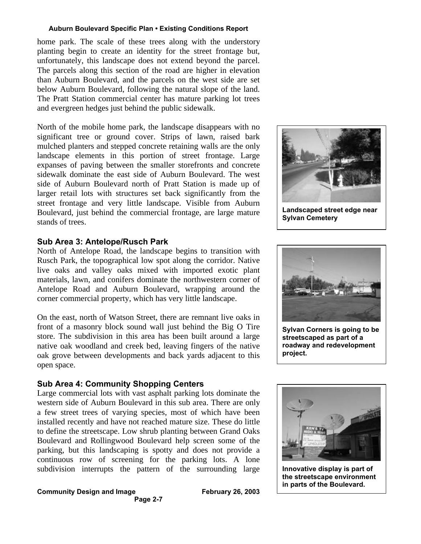home park. The scale of these trees along with the understory planting begin to create an identity for the street frontage but, unfortunately, this landscape does not extend beyond the parcel. The parcels along this section of the road are higher in elevation than Auburn Boulevard, and the parcels on the west side are set below Auburn Boulevard, following the natural slope of the land. The Pratt Station commercial center has mature parking lot trees and evergreen hedges just behind the public sidewalk.

North of the mobile home park, the landscape disappears with no significant tree or ground cover. Strips of lawn, raised bark mulched planters and stepped concrete retaining walls are the only landscape elements in this portion of street frontage. Large expanses of paving between the smaller storefronts and concrete sidewalk dominate the east side of Auburn Boulevard. The west side of Auburn Boulevard north of Pratt Station is made up of larger retail lots with structures set back significantly from the street frontage and very little landscape. Visible from Auburn Boulevard, just behind the commercial frontage, are large mature stands of trees.

## **Sub Area 3: Antelope/Rusch Park**

North of Antelope Road, the landscape begins to transition with Rusch Park, the topographical low spot along the corridor. Native live oaks and valley oaks mixed with imported exotic plant materials, lawn, and conifers dominate the northwestern corner of Antelope Road and Auburn Boulevard, wrapping around the corner commercial property, which has very little landscape.

On the east, north of Watson Street, there are remnant live oaks in front of a masonry block sound wall just behind the Big O Tire store. The subdivision in this area has been built around a large native oak woodland and creek bed, leaving fingers of the native oak grove between developments and back yards adjacent to this open space.

## **Sub Area 4: Community Shopping Centers**

Large commercial lots with vast asphalt parking lots dominate the western side of Auburn Boulevard in this sub area. There are only a few street trees of varying species, most of which have been installed recently and have not reached mature size. These do little to define the streetscape. Low shrub planting between Grand Oaks Boulevard and Rollingwood Boulevard help screen some of the parking, but this landscaping is spotty and does not provide a continuous row of screening for the parking lots. A lone subdivision interrupts the pattern of the surrounding large

#### **Community Design and Image February 26, 2003 Page 2-7**



**Landscaped street edge near Sylvan Cemetery**



**Sylvan Corners is going to be streetscaped as part of a roadway and redevelopment project.**



**Innovative display is part of the streetscape environment in parts of the Boulevard.**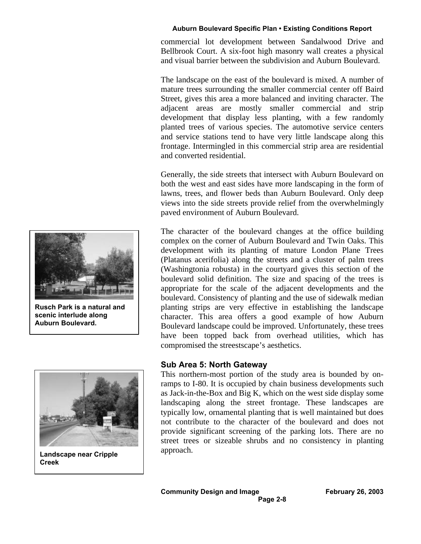commercial lot development between Sandalwood Drive and Bellbrook Court. A six-foot high masonry wall creates a physical and visual barrier between the subdivision and Auburn Boulevard.

The landscape on the east of the boulevard is mixed. A number of mature trees surrounding the smaller commercial center off Baird Street, gives this area a more balanced and inviting character. The adjacent areas are mostly smaller commercial and strip development that display less planting, with a few randomly planted trees of various species. The automotive service centers and service stations tend to have very little landscape along this frontage. Intermingled in this commercial strip area are residential and converted residential.

Generally, the side streets that intersect with Auburn Boulevard on both the west and east sides have more landscaping in the form of lawns, trees, and flower beds than Auburn Boulevard. Only deep views into the side streets provide relief from the overwhelmingly paved environment of Auburn Boulevard.

The character of the boulevard changes at the office building complex on the corner of Auburn Boulevard and Twin Oaks. This development with its planting of mature London Plane Trees (Platanus acerifolia) along the streets and a cluster of palm trees (Washingtonia robusta) in the courtyard gives this section of the boulevard solid definition. The size and spacing of the trees is appropriate for the scale of the adjacent developments and the boulevard. Consistency of planting and the use of sidewalk median planting strips are very effective in establishing the landscape character. This area offers a good example of how Auburn Boulevard landscape could be improved. Unfortunately, these trees have been topped back from overhead utilities, which has compromised the streestscape's aesthetics.

## **Sub Area 5: North Gateway**

This northern-most portion of the study area is bounded by onramps to I-80. It is occupied by chain business developments such as Jack-in-the-Box and Big K, which on the west side display some landscaping along the street frontage. These landscapes are typically low, ornamental planting that is well maintained but does not contribute to the character of the boulevard and does not provide significant screening of the parking lots. There are no street trees or sizeable shrubs and no consistency in planting approach.



**Rusch Park is a natural and scenic interlude along Auburn Boulevard.**



**Landscape near Cripple Creek**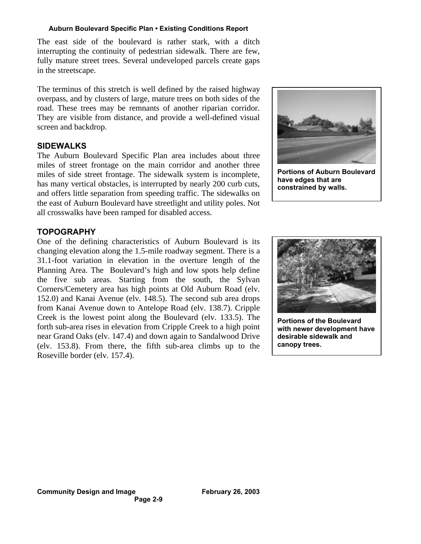The east side of the boulevard is rather stark, with a ditch interrupting the continuity of pedestrian sidewalk. There are few, fully mature street trees. Several undeveloped parcels create gaps in the streetscape.

The terminus of this stretch is well defined by the raised highway overpass, and by clusters of large, mature trees on both sides of the road. These trees may be remnants of another riparian corridor. They are visible from distance, and provide a well-defined visual screen and backdrop.

## **SIDEWALKS**

The Auburn Boulevard Specific Plan area includes about three miles of street frontage on the main corridor and another three miles of side street frontage. The sidewalk system is incomplete, has many vertical obstacles, is interrupted by nearly 200 curb cuts, and offers little separation from speeding traffic. The sidewalks on the east of Auburn Boulevard have streetlight and utility poles. Not all crosswalks have been ramped for disabled access.



**Portions of Auburn Boulevard have edges that are constrained by walls.**

## **TOPOGRAPHY**

One of the defining characteristics of Auburn Boulevard is its changing elevation along the 1.5-mile roadway segment. There is a 31.1-foot variation in elevation in the overture length of the Planning Area. The Boulevard's high and low spots help define the five sub areas. Starting from the south, the Sylvan Corners/Cemetery area has high points at Old Auburn Road (elv. 152.0) and Kanai Avenue (elv. 148.5). The second sub area drops from Kanai Avenue down to Antelope Road (elv. 138.7). Cripple Creek is the lowest point along the Boulevard (elv. 133.5). The forth sub-area rises in elevation from Cripple Creek to a high point near Grand Oaks (elv. 147.4) and down again to Sandalwood Drive (elv. 153.8). From there, the fifth sub-area climbs up to the Roseville border (elv. 157.4).



**Portions of the Boulevard with newer development have desirable sidewalk and canopy trees.**